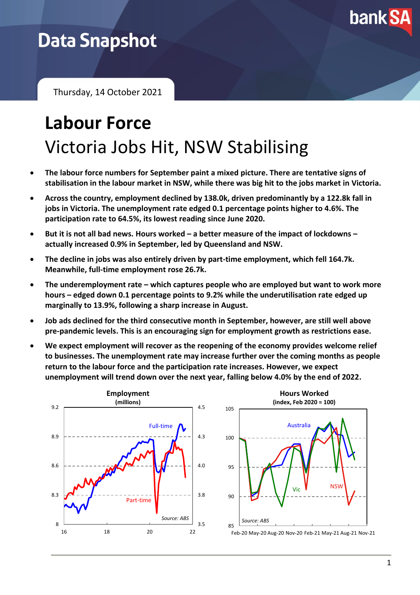

# **Data Snapshot**

Thursday, 14 October 2021

# **Labour Force** Victoria Jobs Hit, NSW Stabilising

- **The labour force numbers for September paint a mixed picture. There are tentative signs of stabilisation in the labour market in NSW, while there was big hit to the jobs market in Victoria.**
- **Across the country, employment declined by 138.0k, driven predominantly by a 122.8k fall in jobs in Victoria. The unemployment rate edged 0.1 percentage points higher to 4.6%. The participation rate to 64.5%, its lowest reading since June 2020.**
- **But it is not all bad news. Hours worked – a better measure of the impact of lockdowns – actually increased 0.9% in September, led by Queensland and NSW.**
- **The decline in jobs was also entirely driven by part-time employment, which fell 164.7k. Meanwhile, full-time employment rose 26.7k.**
- **The underemployment rate – which captures people who are employed but want to work more hours – edged down 0.1 percentage points to 9.2% while the underutilisation rate edged up marginally to 13.9%, following a sharp increase in August.**
- **Job ads declined for the third consecutive month in September, however, are still well above pre-pandemic levels. This is an encouraging sign for employment growth as restrictions ease.**
- **We expect employment will recover as the reopening of the economy provides welcome relief to businesses. The unemployment rate may increase further over the coming months as people return to the labour force and the participation rate increases. However, we expect unemployment will trend down over the next year, falling below 4.0% by the end of 2022.**



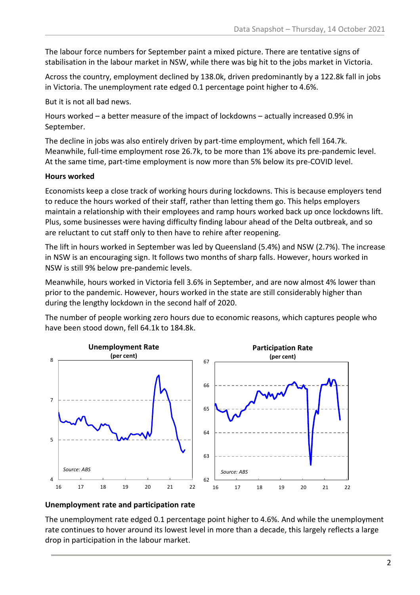The labour force numbers for September paint a mixed picture. There are tentative signs of stabilisation in the labour market in NSW, while there was big hit to the jobs market in Victoria.

Across the country, employment declined by 138.0k, driven predominantly by a 122.8k fall in jobs in Victoria. The unemployment rate edged 0.1 percentage point higher to 4.6%.

But it is not all bad news.

Hours worked – a better measure of the impact of lockdowns – actually increased 0.9% in September.

The decline in jobs was also entirely driven by part-time employment, which fell 164.7k. Meanwhile, full-time employment rose 26.7k, to be more than 1% above its pre-pandemic level. At the same time, part-time employment is now more than 5% below its pre-COVID level.

#### **Hours worked**

Economists keep a close track of working hours during lockdowns. This is because employers tend to reduce the hours worked of their staff, rather than letting them go. This helps employers maintain a relationship with their employees and ramp hours worked back up once lockdowns lift. Plus, some businesses were having difficulty finding labour ahead of the Delta outbreak, and so are reluctant to cut staff only to then have to rehire after reopening.

The lift in hours worked in September was led by Queensland (5.4%) and NSW (2.7%). The increase in NSW is an encouraging sign. It follows two months of sharp falls. However, hours worked in NSW is still 9% below pre-pandemic levels.

Meanwhile, hours worked in Victoria fell 3.6% in September, and are now almost 4% lower than prior to the pandemic. However, hours worked in the state are still considerably higher than during the lengthy lockdown in the second half of 2020.

The number of people working zero hours due to economic reasons, which captures people who have been stood down, fell 64.1k to 184.8k.



#### **Unemployment rate and participation rate**

The unemployment rate edged 0.1 percentage point higher to 4.6%. And while the unemployment rate continues to hover around its lowest level in more than a decade, this largely reflects a large drop in participation in the labour market.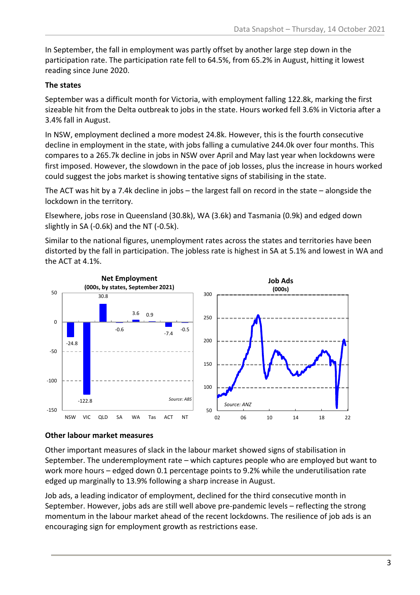In September, the fall in employment was partly offset by another large step down in the participation rate. The participation rate fell to 64.5%, from 65.2% in August, hitting it lowest reading since June 2020.

### **The states**

September was a difficult month for Victoria, with employment falling 122.8k, marking the first sizeable hit from the Delta outbreak to jobs in the state. Hours worked fell 3.6% in Victoria after a 3.4% fall in August.

In NSW, employment declined a more modest 24.8k. However, this is the fourth consecutive decline in employment in the state, with jobs falling a cumulative 244.0k over four months. This compares to a 265.7k decline in jobs in NSW over April and May last year when lockdowns were first imposed. However, the slowdown in the pace of job losses, plus the increase in hours worked could suggest the jobs market is showing tentative signs of stabilising in the state.

The ACT was hit by a 7.4k decline in jobs – the largest fall on record in the state – alongside the lockdown in the territory.

Elsewhere, jobs rose in Queensland (30.8k), WA (3.6k) and Tasmania (0.9k) and edged down slightly in SA (-0.6k) and the NT (-0.5k).

Similar to the national figures, unemployment rates across the states and territories have been distorted by the fall in participation. The jobless rate is highest in SA at 5.1% and lowest in WA and the ACT at 4.1%.



### **Other labour market measures**

Other important measures of slack in the labour market showed signs of stabilisation in September. The underemployment rate – which captures people who are employed but want to work more hours – edged down 0.1 percentage points to 9.2% while the underutilisation rate edged up marginally to 13.9% following a sharp increase in August.

Job ads, a leading indicator of employment, declined for the third consecutive month in September. However, jobs ads are still well above pre-pandemic levels – reflecting the strong momentum in the labour market ahead of the recent lockdowns. The resilience of job ads is an encouraging sign for employment growth as restrictions ease.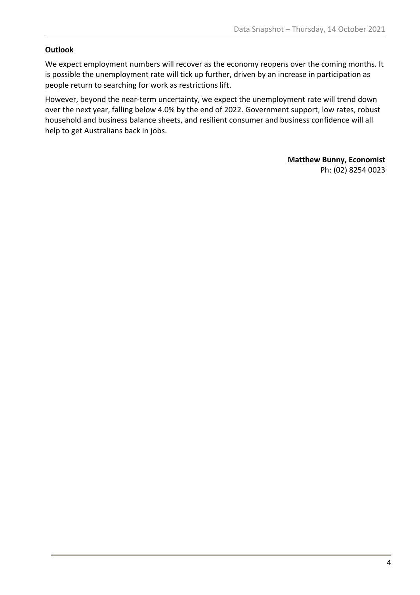#### **Outlook**

We expect employment numbers will recover as the economy reopens over the coming months. It is possible the unemployment rate will tick up further, driven by an increase in participation as people return to searching for work as restrictions lift.

However, beyond the near-term uncertainty, we expect the unemployment rate will trend down over the next year, falling below 4.0% by the end of 2022. Government support, low rates, robust household and business balance sheets, and resilient consumer and business confidence will all help to get Australians back in jobs.

> **Matthew Bunny, Economist** Ph: (02) 8254 0023